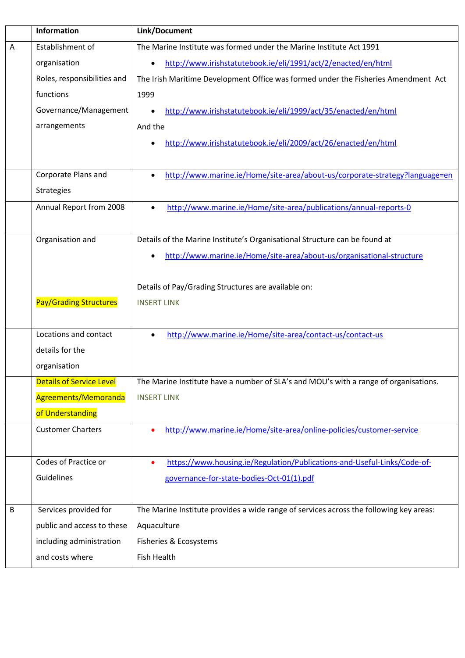|         | Information                     | Link/Document                                                                            |
|---------|---------------------------------|------------------------------------------------------------------------------------------|
| Α       | Establishment of                | The Marine Institute was formed under the Marine Institute Act 1991                      |
|         | organisation                    | http://www.irishstatutebook.ie/eli/1991/act/2/enacted/en/html<br>$\bullet$               |
|         | Roles, responsibilities and     | The Irish Maritime Development Office was formed under the Fisheries Amendment Act       |
|         | functions                       | 1999                                                                                     |
|         | Governance/Management           | http://www.irishstatutebook.ie/eli/1999/act/35/enacted/en/html                           |
|         | arrangements                    | And the                                                                                  |
|         |                                 | http://www.irishstatutebook.ie/eli/2009/act/26/enacted/en/html                           |
|         |                                 |                                                                                          |
|         | Corporate Plans and             | http://www.marine.ie/Home/site-area/about-us/corporate-strategy?language=en<br>$\bullet$ |
|         | <b>Strategies</b>               |                                                                                          |
|         | Annual Report from 2008         | http://www.marine.ie/Home/site-area/publications/annual-reports-0<br>$\bullet$           |
|         |                                 |                                                                                          |
|         | Organisation and                | Details of the Marine Institute's Organisational Structure can be found at               |
|         |                                 | http://www.marine.ie/Home/site-area/about-us/organisational-structure                    |
|         |                                 |                                                                                          |
|         |                                 | Details of Pay/Grading Structures are available on:                                      |
|         | <b>Pay/Grading Structures</b>   | <b>INSERT LINK</b>                                                                       |
|         |                                 |                                                                                          |
|         | Locations and contact           | http://www.marine.ie/Home/site-area/contact-us/contact-us<br>$\bullet$                   |
|         | details for the                 |                                                                                          |
|         | organisation                    |                                                                                          |
|         | <b>Details of Service Level</b> | The Marine Institute have a number of SLA's and MOU's with a range of organisations.     |
|         | Agreements/Memoranda            | <b>INSERT LINK</b>                                                                       |
|         | of Understanding                |                                                                                          |
|         | <b>Customer Charters</b>        | http://www.marine.ie/Home/site-area/online-policies/customer-service<br>$\bullet$        |
|         |                                 |                                                                                          |
|         | Codes of Practice or            | https://www.housing.ie/Regulation/Publications-and-Useful-Links/Code-of-<br>$\bullet$    |
|         | Guidelines                      | governance-for-state-bodies-Oct-01(1).pdf                                                |
|         |                                 |                                                                                          |
| $\sf B$ | Services provided for           | The Marine Institute provides a wide range of services across the following key areas:   |
|         | public and access to these      | Aquaculture                                                                              |
|         | including administration        | Fisheries & Ecosystems                                                                   |
|         | and costs where                 | Fish Health                                                                              |
|         |                                 |                                                                                          |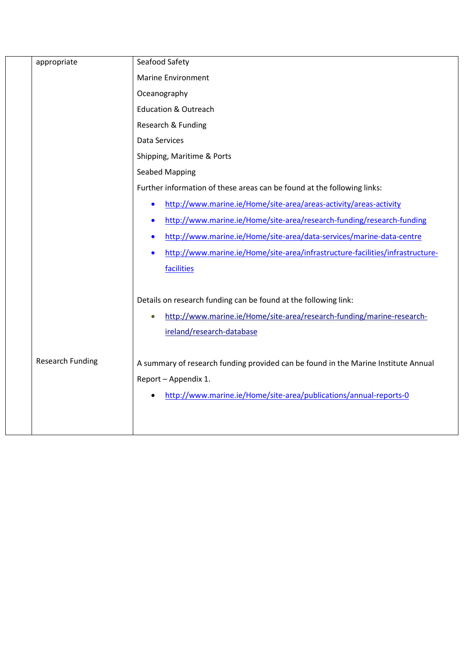| appropriate             | Seafood Safety                                                                     |
|-------------------------|------------------------------------------------------------------------------------|
|                         | <b>Marine Environment</b>                                                          |
|                         | Oceanography                                                                       |
|                         | <b>Education &amp; Outreach</b>                                                    |
|                         | Research & Funding                                                                 |
|                         | Data Services                                                                      |
|                         | Shipping, Maritime & Ports                                                         |
|                         | <b>Seabed Mapping</b>                                                              |
|                         | Further information of these areas can be found at the following links:            |
|                         | http://www.marine.ie/Home/site-area/areas-activity/areas-activity<br>$\bullet$     |
|                         | http://www.marine.ie/Home/site-area/research-funding/research-funding<br>$\bullet$ |
|                         | http://www.marine.ie/Home/site-area/data-services/marine-data-centre<br>$\bullet$  |
|                         | http://www.marine.ie/Home/site-area/infrastructure-facilities/infrastructure-      |
|                         | facilities                                                                         |
|                         |                                                                                    |
|                         | Details on research funding can be found at the following link:                    |
|                         | http://www.marine.ie/Home/site-area/research-funding/marine-research-              |
|                         | ireland/research-database                                                          |
|                         |                                                                                    |
| <b>Research Funding</b> | A summary of research funding provided can be found in the Marine Institute Annual |
|                         | Report - Appendix 1.                                                               |
|                         | http://www.marine.ie/Home/site-area/publications/annual-reports-0                  |
|                         |                                                                                    |
|                         |                                                                                    |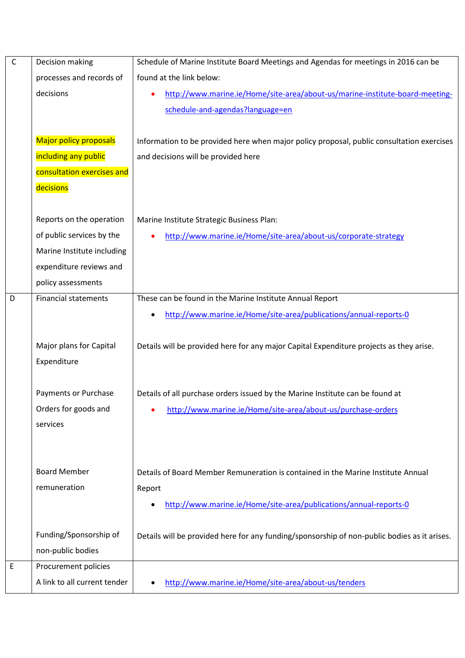| $\mathsf C$ | Decision making               | Schedule of Marine Institute Board Meetings and Agendas for meetings in 2016 can be          |
|-------------|-------------------------------|----------------------------------------------------------------------------------------------|
|             | processes and records of      | found at the link below:                                                                     |
|             | decisions                     | http://www.marine.ie/Home/site-area/about-us/marine-institute-board-meeting-<br>$\bullet$    |
|             |                               | schedule-and-agendas?language=en                                                             |
|             |                               |                                                                                              |
|             | <b>Major policy proposals</b> | Information to be provided here when major policy proposal, public consultation exercises    |
|             | including any public          | and decisions will be provided here                                                          |
|             | consultation exercises and    |                                                                                              |
|             | decisions                     |                                                                                              |
|             |                               |                                                                                              |
|             | Reports on the operation      | Marine Institute Strategic Business Plan:                                                    |
|             | of public services by the     | http://www.marine.ie/Home/site-area/about-us/corporate-strategy                              |
|             | Marine Institute including    |                                                                                              |
|             | expenditure reviews and       |                                                                                              |
|             | policy assessments            |                                                                                              |
| D           | <b>Financial statements</b>   | These can be found in the Marine Institute Annual Report                                     |
|             |                               | http://www.marine.ie/Home/site-area/publications/annual-reports-0                            |
|             |                               |                                                                                              |
|             | Major plans for Capital       | Details will be provided here for any major Capital Expenditure projects as they arise.      |
|             | Expenditure                   |                                                                                              |
|             |                               |                                                                                              |
|             | <b>Payments or Purchase</b>   | Details of all purchase orders issued by the Marine Institute can be found at                |
|             | Orders for goods and          | http://www.marine.ie/Home/site-area/about-us/purchase-orders                                 |
|             | services                      |                                                                                              |
|             |                               |                                                                                              |
|             |                               |                                                                                              |
|             | <b>Board Member</b>           | Details of Board Member Remuneration is contained in the Marine Institute Annual             |
|             | remuneration                  | Report                                                                                       |
|             |                               | http://www.marine.ie/Home/site-area/publications/annual-reports-0                            |
|             |                               |                                                                                              |
|             | Funding/Sponsorship of        | Details will be provided here for any funding/sponsorship of non-public bodies as it arises. |
|             | non-public bodies             |                                                                                              |
| E           | Procurement policies          |                                                                                              |
|             | A link to all current tender  | http://www.marine.ie/Home/site-area/about-us/tenders                                         |